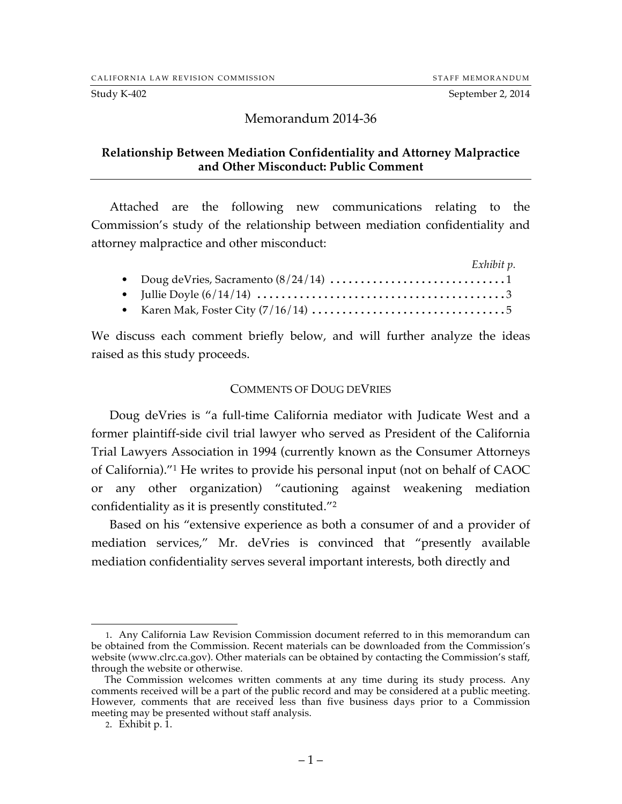Study K-402 September 2, 2014

# Memorandum 2014-36

## **Relationship Between Mediation Confidentiality and Attorney Malpractice and Other Misconduct: Public Comment**

Attached are the following new communications relating to the Commission's study of the relationship between mediation confidentiality and attorney malpractice and other misconduct:

|  | Exhibit p. |
|--|------------|
|  |            |
|  |            |
|  |            |

We discuss each comment briefly below, and will further analyze the ideas raised as this study proceeds.

## COMMENTS OF DOUG DEVRIES

Doug deVries is "a full-time California mediator with Judicate West and a former plaintiff-side civil trial lawyer who served as President of the California Trial Lawyers Association in 1994 (currently known as the Consumer Attorneys of California)."1 He writes to provide his personal input (not on behalf of CAOC or any other organization) "cautioning against weakening mediation confidentiality as it is presently constituted."2

Based on his "extensive experience as both a consumer of and a provider of mediation services," Mr. deVries is convinced that "presently available mediation confidentiality serves several important interests, both directly and

 <sup>1.</sup> Any California Law Revision Commission document referred to in this memorandum can be obtained from the Commission. Recent materials can be downloaded from the Commission's website (www.clrc.ca.gov). Other materials can be obtained by contacting the Commission's staff, through the website or otherwise.

The Commission welcomes written comments at any time during its study process. Any comments received will be a part of the public record and may be considered at a public meeting. However, comments that are received less than five business days prior to a Commission meeting may be presented without staff analysis.

<sup>2.</sup> Exhibit p. 1.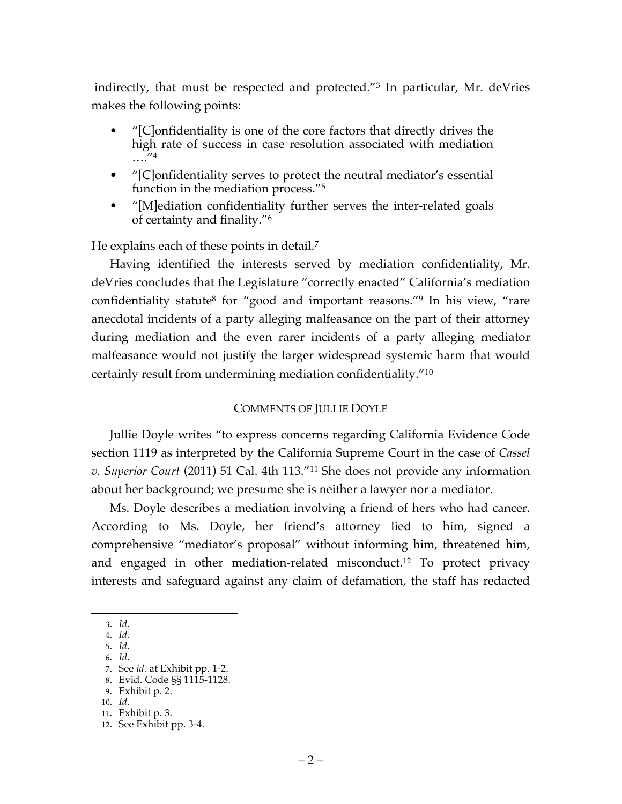indirectly, that must be respected and protected."3 In particular, Mr. deVries makes the following points:

- "[C]onfidentiality is one of the core factors that directly drives the high rate of success in case resolution associated with mediation  $\ldots$ "4
- "[C]onfidentiality serves to protect the neutral mediator's essential function in the mediation process."5
- "[M]ediation confidentiality further serves the inter-related goals of certainty and finality."6

He explains each of these points in detail.<sup>7</sup>

Having identified the interests served by mediation confidentiality, Mr. deVries concludes that the Legislature "correctly enacted" California's mediation confidentiality statute<sup>8</sup> for "good and important reasons."<sup>9</sup> In his view, "rare anecdotal incidents of a party alleging malfeasance on the part of their attorney during mediation and the even rarer incidents of a party alleging mediator malfeasance would not justify the larger widespread systemic harm that would certainly result from undermining mediation confidentiality."10

# COMMENTS OF JULLIE DOYLE

Jullie Doyle writes "to express concerns regarding California Evidence Code section 1119 as interpreted by the California Supreme Court in the case of *Cassel v. Superior Court* (2011) 51 Cal. 4th 113."11 She does not provide any information about her background; we presume she is neither a lawyer nor a mediator.

Ms. Doyle describes a mediation involving a friend of hers who had cancer. According to Ms. Doyle, her friend's attorney lied to him, signed a comprehensive "mediator's proposal" without informing him, threatened him, and engaged in other mediation-related misconduct.<sup>12</sup> To protect privacy interests and safeguard against any claim of defamation, the staff has redacted

9. Exhibit p. 2.

 <sup>3.</sup> *Id.*

<sup>4.</sup> *Id.* 5. *Id.*

<sup>6.</sup> *Id.*

<sup>7.</sup> See *id.* at Exhibit pp. 1-2.

<sup>8.</sup> Evid. Code §§ 1115-1128.

<sup>10.</sup> *Id.*

<sup>11.</sup> Exhibit p. 3.

<sup>12.</sup> See Exhibit pp. 3-4.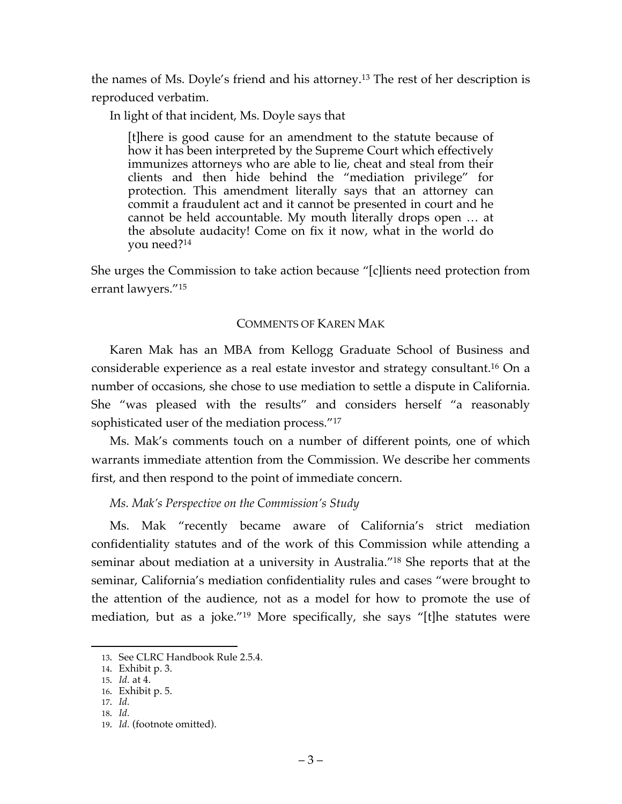the names of Ms. Doyle's friend and his attorney.13 The rest of her description is reproduced verbatim.

In light of that incident, Ms. Doyle says that

[t]here is good cause for an amendment to the statute because of how it has been interpreted by the Supreme Court which effectively immunizes attorneys who are able to lie, cheat and steal from their clients and then hide behind the "mediation privilege" for protection. This amendment literally says that an attorney can commit a fraudulent act and it cannot be presented in court and he cannot be held accountable. My mouth literally drops open … at the absolute audacity! Come on fix it now, what in the world do you need?14

She urges the Commission to take action because "[c]lients need protection from errant lawyers."15

# COMMENTS OF KAREN MAK

Karen Mak has an MBA from Kellogg Graduate School of Business and considerable experience as a real estate investor and strategy consultant.16 On a number of occasions, she chose to use mediation to settle a dispute in California. She "was pleased with the results" and considers herself "a reasonably sophisticated user of the mediation process."17

Ms. Mak's comments touch on a number of different points, one of which warrants immediate attention from the Commission. We describe her comments first, and then respond to the point of immediate concern.

*Ms. Mak's Perspective on the Commission's Study*

Ms. Mak "recently became aware of California's strict mediation confidentiality statutes and of the work of this Commission while attending a seminar about mediation at a university in Australia."18 She reports that at the seminar, California's mediation confidentiality rules and cases "were brought to the attention of the audience, not as a model for how to promote the use of mediation, but as a joke."19 More specifically, she says "[t]he statutes were

 <sup>13.</sup> See CLRC Handbook Rule 2.5.4.

<sup>14.</sup> Exhibit p. 3.

<sup>15.</sup> *Id.* at 4.

<sup>16.</sup> Exhibit p. 5.

<sup>17.</sup> *Id.*

<sup>18.</sup> *Id.*

<sup>19.</sup> *Id.* (footnote omitted).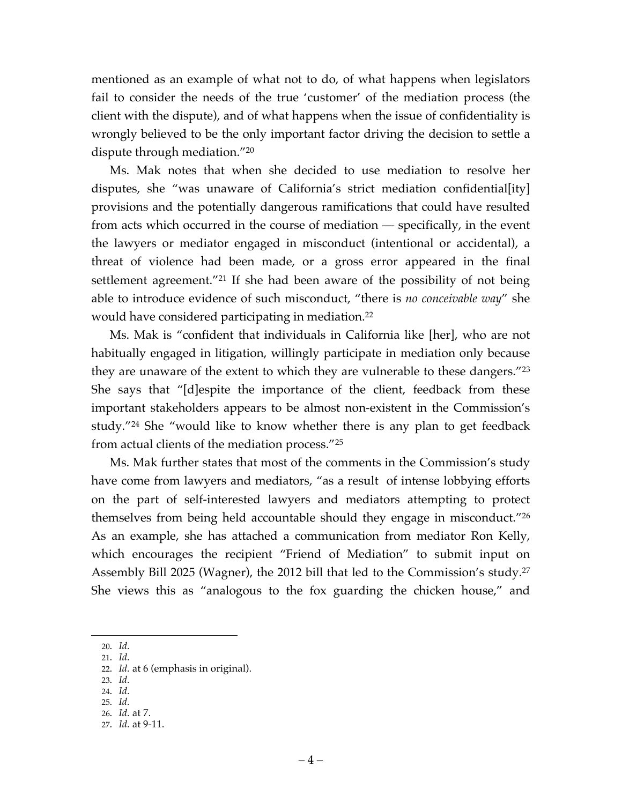mentioned as an example of what not to do, of what happens when legislators fail to consider the needs of the true 'customer' of the mediation process (the client with the dispute), and of what happens when the issue of confidentiality is wrongly believed to be the only important factor driving the decision to settle a dispute through mediation."20

Ms. Mak notes that when she decided to use mediation to resolve her disputes, she "was unaware of California's strict mediation confidential[ity] provisions and the potentially dangerous ramifications that could have resulted from acts which occurred in the course of mediation — specifically, in the event the lawyers or mediator engaged in misconduct (intentional or accidental), a threat of violence had been made, or a gross error appeared in the final settlement agreement."21 If she had been aware of the possibility of not being able to introduce evidence of such misconduct, "there is *no conceivable way*" she would have considered participating in mediation.22

Ms. Mak is "confident that individuals in California like [her], who are not habitually engaged in litigation, willingly participate in mediation only because they are unaware of the extent to which they are vulnerable to these dangers."23 She says that "[d]espite the importance of the client, feedback from these important stakeholders appears to be almost non-existent in the Commission's study."24 She "would like to know whether there is any plan to get feedback from actual clients of the mediation process."25

Ms. Mak further states that most of the comments in the Commission's study have come from lawyers and mediators, "as a result of intense lobbying efforts on the part of self-interested lawyers and mediators attempting to protect themselves from being held accountable should they engage in misconduct."26 As an example, she has attached a communication from mediator Ron Kelly, which encourages the recipient "Friend of Mediation" to submit input on Assembly Bill 2025 (Wagner), the 2012 bill that led to the Commission's study.27 She views this as "analogous to the fox guarding the chicken house," and

- 21. *Id.*
- 22. *Id.* at 6 (emphasis in original).
- 23. *Id.*
- 24. *Id.*
- 25. *Id.* 26. *Id.* at 7.
- 27. *Id.* at 9-11.

 <sup>20.</sup> *Id.*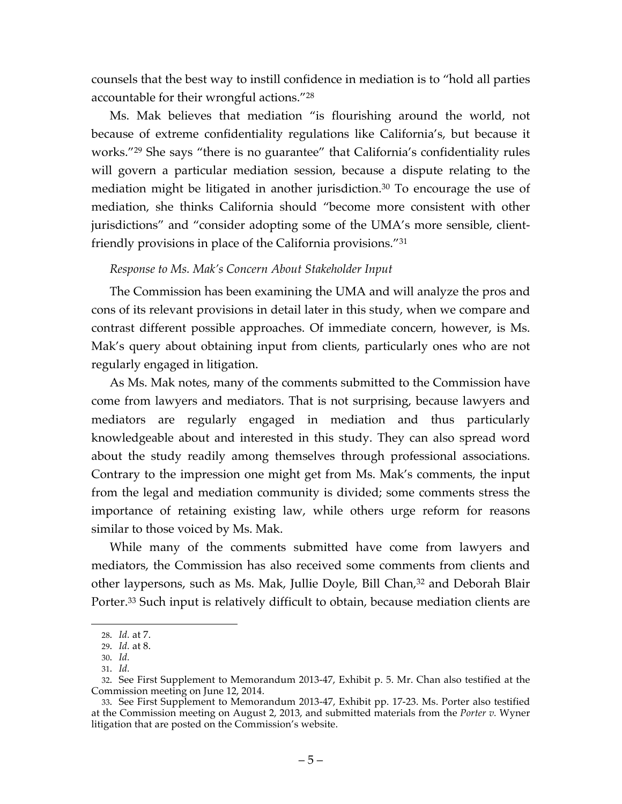counsels that the best way to instill confidence in mediation is to "hold all parties accountable for their wrongful actions."28

Ms. Mak believes that mediation "is flourishing around the world, not because of extreme confidentiality regulations like California's, but because it works."29 She says "there is no guarantee" that California's confidentiality rules will govern a particular mediation session, because a dispute relating to the mediation might be litigated in another jurisdiction.<sup>30</sup> To encourage the use of mediation, she thinks California should "become more consistent with other jurisdictions" and "consider adopting some of the UMA's more sensible, clientfriendly provisions in place of the California provisions."31

# *Response to Ms. Mak's Concern About Stakeholder Input*

The Commission has been examining the UMA and will analyze the pros and cons of its relevant provisions in detail later in this study, when we compare and contrast different possible approaches. Of immediate concern, however, is Ms. Mak's query about obtaining input from clients, particularly ones who are not regularly engaged in litigation.

As Ms. Mak notes, many of the comments submitted to the Commission have come from lawyers and mediators. That is not surprising, because lawyers and mediators are regularly engaged in mediation and thus particularly knowledgeable about and interested in this study. They can also spread word about the study readily among themselves through professional associations. Contrary to the impression one might get from Ms. Mak's comments, the input from the legal and mediation community is divided; some comments stress the importance of retaining existing law, while others urge reform for reasons similar to those voiced by Ms. Mak.

While many of the comments submitted have come from lawyers and mediators, the Commission has also received some comments from clients and other laypersons, such as Ms. Mak, Jullie Doyle, Bill Chan,<sup>32</sup> and Deborah Blair Porter.<sup>33</sup> Such input is relatively difficult to obtain, because mediation clients are

 <sup>28.</sup> *Id.* at 7.

<sup>29.</sup> *Id.* at 8.

<sup>30.</sup> *Id.* 31. *Id.*

<sup>32.</sup> See First Supplement to Memorandum 2013-47, Exhibit p. 5. Mr. Chan also testified at the Commission meeting on June 12, 2014.

<sup>33.</sup> See First Supplement to Memorandum 2013-47, Exhibit pp. 17-23. Ms. Porter also testified at the Commission meeting on August 2, 2013, and submitted materials from the *Porter v.* Wyner litigation that are posted on the Commission's website.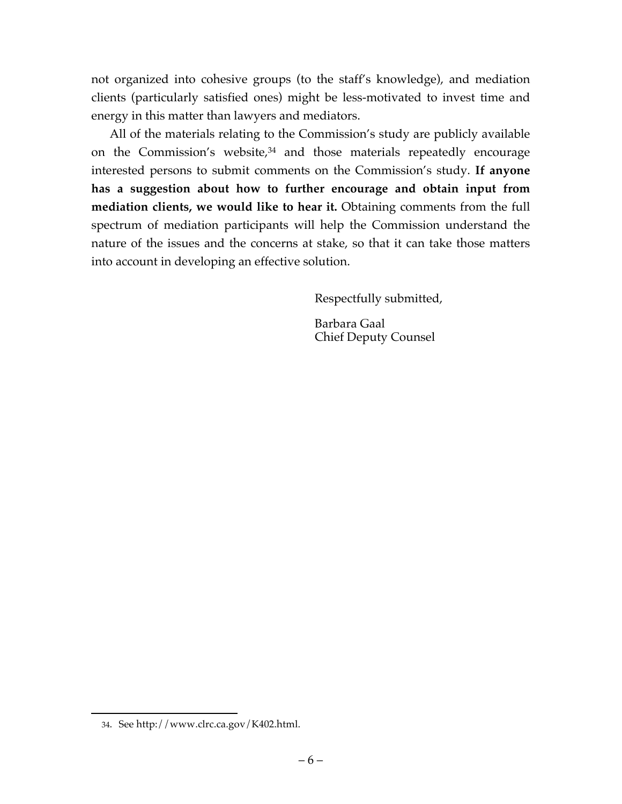not organized into cohesive groups (to the staff's knowledge), and mediation clients (particularly satisfied ones) might be less-motivated to invest time and energy in this matter than lawyers and mediators.

All of the materials relating to the Commission's study are publicly available on the Commission's website, <sup>34</sup> and those materials repeatedly encourage interested persons to submit comments on the Commission's study. **If anyone has a suggestion about how to further encourage and obtain input from**  mediation clients, we would like to hear it. Obtaining comments from the full spectrum of mediation participants will help the Commission understand the nature of the issues and the concerns at stake, so that it can take those matters into account in developing an effective solution.

Respectfully submitted,

Barbara Gaal Chief Deputy Counsel

 <sup>34.</sup> See http://www.clrc.ca.gov/K402.html.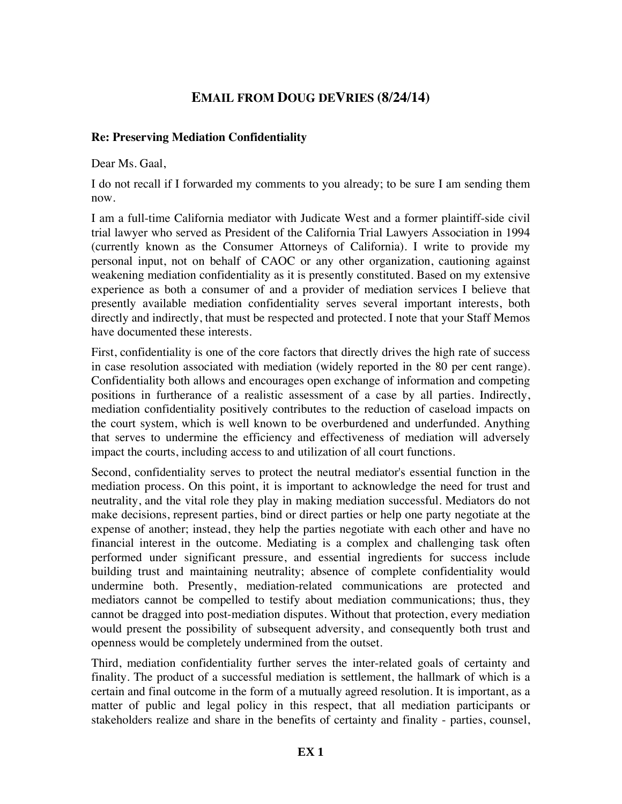# **EMAIL FROM DOUG DEVRIES (8/24/14)**

# **Re: Preserving Mediation Confidentiality**

Dear Ms. Gaal,

I do not recall if I forwarded my comments to you already; to be sure I am sending them now.

I am a full-time California mediator with Judicate West and a former plaintiff-side civil trial lawyer who served as President of the California Trial Lawyers Association in 1994 (currently known as the Consumer Attorneys of California). I write to provide my personal input, not on behalf of CAOC or any other organization, cautioning against weakening mediation confidentiality as it is presently constituted. Based on my extensive experience as both a consumer of and a provider of mediation services I believe that presently available mediation confidentiality serves several important interests, both directly and indirectly, that must be respected and protected. I note that your Staff Memos have documented these interests.

First, confidentiality is one of the core factors that directly drives the high rate of success in case resolution associated with mediation (widely reported in the 80 per cent range). Confidentiality both allows and encourages open exchange of information and competing positions in furtherance of a realistic assessment of a case by all parties. Indirectly, mediation confidentiality positively contributes to the reduction of caseload impacts on the court system, which is well known to be overburdened and underfunded. Anything that serves to undermine the efficiency and effectiveness of mediation will adversely impact the courts, including access to and utilization of all court functions.

Second, confidentiality serves to protect the neutral mediator's essential function in the mediation process. On this point, it is important to acknowledge the need for trust and neutrality, and the vital role they play in making mediation successful. Mediators do not make decisions, represent parties, bind or direct parties or help one party negotiate at the expense of another; instead, they help the parties negotiate with each other and have no financial interest in the outcome. Mediating is a complex and challenging task often performed under significant pressure, and essential ingredients for success include building trust and maintaining neutrality; absence of complete confidentiality would undermine both. Presently, mediation-related communications are protected and mediators cannot be compelled to testify about mediation communications; thus, they cannot be dragged into post-mediation disputes. Without that protection, every mediation would present the possibility of subsequent adversity, and consequently both trust and openness would be completely undermined from the outset.

Third, mediation confidentiality further serves the inter-related goals of certainty and finality. The product of a successful mediation is settlement, the hallmark of which is a certain and final outcome in the form of a mutually agreed resolution. It is important, as a matter of public and legal policy in this respect, that all mediation participants or stakeholders realize and share in the benefits of certainty and finality - parties, counsel,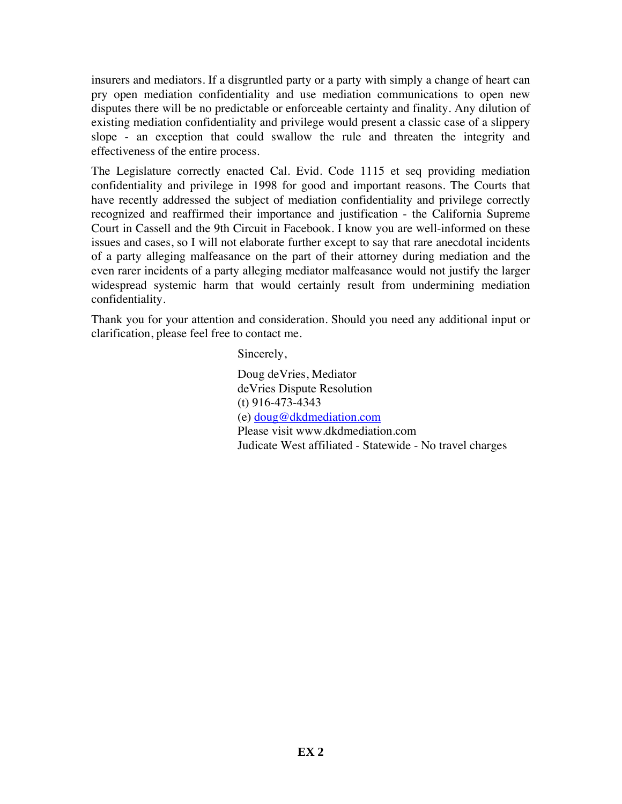insurers and mediators. If a disgruntled party or a party with simply a change of heart can pry open mediation confidentiality and use mediation communications to open new disputes there will be no predictable or enforceable certainty and finality. Any dilution of existing mediation confidentiality and privilege would present a classic case of a slippery slope - an exception that could swallow the rule and threaten the integrity and effectiveness of the entire process.

The Legislature correctly enacted Cal. Evid. Code 1115 et seq providing mediation confidentiality and privilege in 1998 for good and important reasons. The Courts that have recently addressed the subject of mediation confidentiality and privilege correctly recognized and reaffirmed their importance and justification - the California Supreme Court in Cassell and the 9th Circuit in Facebook. I know you are well-informed on these issues and cases, so I will not elaborate further except to say that rare anecdotal incidents of a party alleging malfeasance on the part of their attorney during mediation and the even rarer incidents of a party alleging mediator malfeasance would not justify the larger widespread systemic harm that would certainly result from undermining mediation confidentiality.

Thank you for your attention and consideration. Should you need any additional input or clarification, please feel free to contact me.

Sincerely,

Doug deVries, Mediator deVries Dispute Resolution (t) 916-473-4343 (e) doug@dkdmediation.com Please visit www.dkdmediation.com Judicate West affiliated - Statewide - No travel charges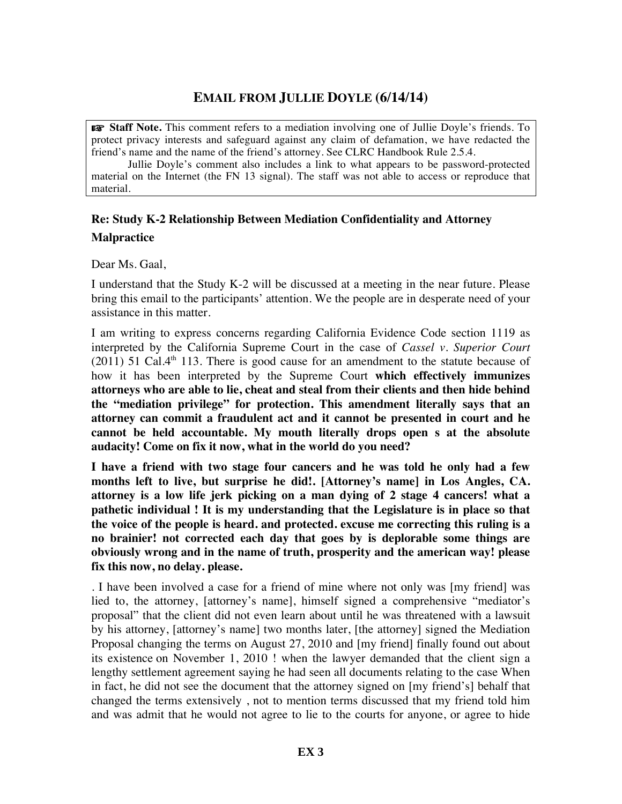# **EMAIL FROM JULLIE DOYLE (6/14/14)**

☞ **Staff Note.** This comment refers to a mediation involving one of Jullie Doyle's friends. To protect privacy interests and safeguard against any claim of defamation, we have redacted the friend's name and the name of the friend's attorney. See CLRC Handbook Rule 2.5.4.

Jullie Doyle's comment also includes a link to what appears to be password-protected material on the Internet (the FN 13 signal). The staff was not able to access or reproduce that material.

# **Re: Study K-2 Relationship Between Mediation Confidentiality and Attorney Malpractice**

Dear Ms. Gaal,

I understand that the Study K-2 will be discussed at a meeting in the near future. Please bring this email to the participants' attention. We the people are in desperate need of your assistance in this matter.

I am writing to express concerns regarding California Evidence Code section 1119 as interpreted by the California Supreme Court in the case of *Cassel v. Superior Court*  $(2011)$  51 Cal.4<sup>th</sup> 113. There is good cause for an amendment to the statute because of how it has been interpreted by the Supreme Court **which effectively immunizes attorneys who are able to lie, cheat and steal from their clients and then hide behind the "mediation privilege" for protection. This amendment literally says that an attorney can commit a fraudulent act and it cannot be presented in court and he cannot be held accountable. My mouth literally drops open s at the absolute audacity! Come on fix it now, what in the world do you need?**

**I have a friend with two stage four cancers and he was told he only had a few months left to live, but surprise he did!. [Attorney's name] in Los Angles, CA. attorney is a low life jerk picking on a man dying of 2 stage 4 cancers! what a pathetic individual ! It is my understanding that the Legislature is in place so that the voice of the people is heard. and protected. excuse me correcting this ruling is a no brainier! not corrected each day that goes by is deplorable some things are obviously wrong and in the name of truth, prosperity and the american way! please fix this now, no delay. please.**

. I have been involved a case for a friend of mine where not only was [my friend] was lied to, the attorney, [attorney's name], himself signed a comprehensive "mediator's proposal" that the client did not even learn about until he was threatened with a lawsuit by his attorney, [attorney's name] two months later, [the attorney] signed the Mediation Proposal changing the terms on August 27, 2010 and [my friend] finally found out about its existence on November 1, 2010 ! when the lawyer demanded that the client sign a lengthy settlement agreement saying he had seen all documents relating to the case When in fact, he did not see the document that the attorney signed on [my friend's] behalf that changed the terms extensively , not to mention terms discussed that my friend told him and was admit that he would not agree to lie to the courts for anyone, or agree to hide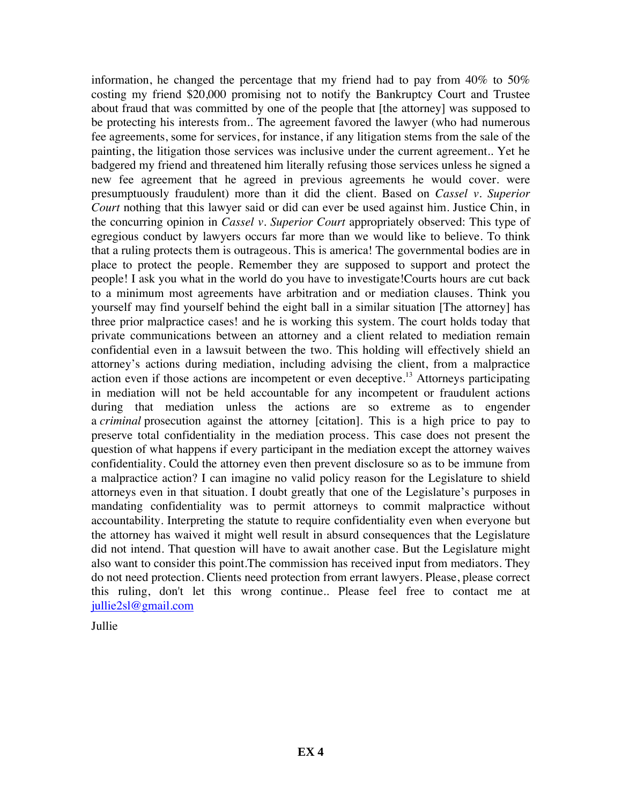information, he changed the percentage that my friend had to pay from 40% to 50% costing my friend \$20,000 promising not to notify the Bankruptcy Court and Trustee about fraud that was committed by one of the people that [the attorney] was supposed to be protecting his interests from.. The agreement favored the lawyer (who had numerous fee agreements, some for services, for instance, if any litigation stems from the sale of the painting, the litigation those services was inclusive under the current agreement.. Yet he badgered my friend and threatened him literally refusing those services unless he signed a new fee agreement that he agreed in previous agreements he would cover. were presumptuously fraudulent) more than it did the client. Based on *Cassel v. Superior Court* nothing that this lawyer said or did can ever be used against him. Justice Chin, in the concurring opinion in *Cassel v. Superior Court* appropriately observed: This type of egregious conduct by lawyers occurs far more than we would like to believe. To think that a ruling protects them is outrageous. This is america! The governmental bodies are in place to protect the people. Remember they are supposed to support and protect the people! I ask you what in the world do you have to investigate!Courts hours are cut back to a minimum most agreements have arbitration and or mediation clauses. Think you yourself may find yourself behind the eight ball in a similar situation [The attorney] has three prior malpractice cases! and he is working this system. The court holds today that private communications between an attorney and a client related to mediation remain confidential even in a lawsuit between the two. This holding will effectively shield an attorney's actions during mediation, including advising the client, from a malpractice action even if those actions are incompetent or even deceptive.13 Attorneys participating in mediation will not be held accountable for any incompetent or fraudulent actions during that mediation unless the actions are so extreme as to engender a *criminal* prosecution against the attorney [citation]. This is a high price to pay to preserve total confidentiality in the mediation process. This case does not present the question of what happens if every participant in the mediation except the attorney waives confidentiality. Could the attorney even then prevent disclosure so as to be immune from a malpractice action? I can imagine no valid policy reason for the Legislature to shield attorneys even in that situation. I doubt greatly that one of the Legislature's purposes in mandating confidentiality was to permit attorneys to commit malpractice without accountability. Interpreting the statute to require confidentiality even when everyone but the attorney has waived it might well result in absurd consequences that the Legislature did not intend. That question will have to await another case. But the Legislature might also want to consider this point.The commission has received input from mediators. They do not need protection. Clients need protection from errant lawyers. Please, please correct this ruling, don't let this wrong continue.. Please feel free to contact me at jullie2sl@gmail.com

Jullie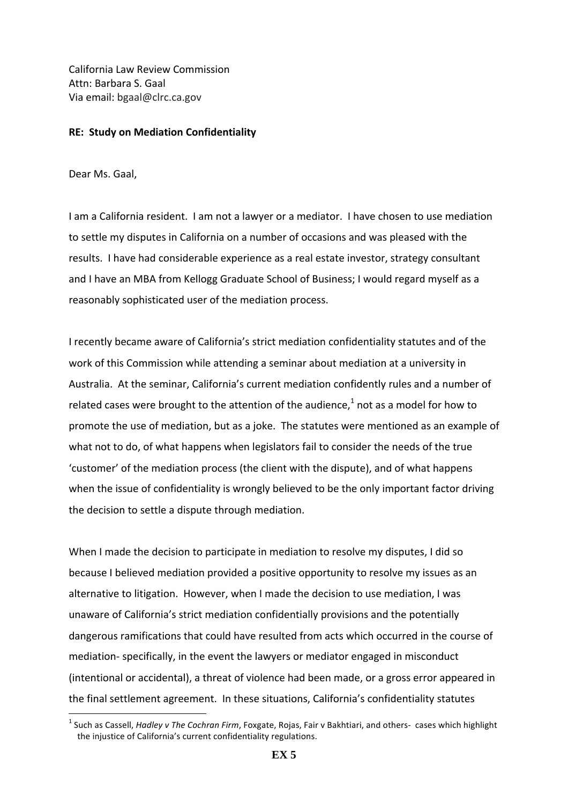California Law Review Commission Attn: Barbara S. Gaal Via email: bgaal@clrc.ca.gov

))))))))))))))))))))))))))))))))))))))))))))))))))))))))))))

#### **RE: Study on Mediation Confidentiality**

Dear Ms. Gaal,

I am a California resident. I am not a lawyer or a mediator. I have chosen to use mediation to settle my disputes in California on a number of occasions and was pleased with the results. I have had considerable experience as a real estate investor, strategy consultant and I have an MBA from Kellogg Graduate School of Business; I would regard myself as a reasonably sophisticated user of the mediation process.

I recently became aware of California's strict mediation confidentiality statutes and of the work of this Commission while attending a seminar about mediation at a university in Australia. At the seminar, California's current mediation confidently rules and a number of related cases were brought to the attention of the audience, $^1$  not as a model for how to promote the use of mediation, but as a joke. The statutes were mentioned as an example of what not to do, of what happens when legislators fail to consider the needs of the true 'customer' of the mediation process (the client with the dispute), and of what happens when the issue of confidentiality is wrongly believed to be the only important factor driving the decision to settle a dispute through mediation.

When I made the decision to participate in mediation to resolve my disputes, I did so because I believed mediation provided a positive opportunity to resolve my issues as an alternative to litigation. However, when I made the decision to use mediation, I was unaware of California's strict mediation confidentially provisions and the potentially dangerous ramifications that could have resulted from acts which occurred in the course of mediation-specifically, in the event the lawyers or mediator engaged in misconduct (intentional or accidental), a threat of violence had been made, or a gross error appeared in the final settlement agreement. In these situations, California's confidentiality statutes

<sup>&</sup>lt;sup>1</sup> Such as Cassell, *Hadley v The Cochran Firm*, Foxgate, Rojas, Fair v Bakhtiari, and others- cases which highlight the injustice of California's current confidentiality regulations.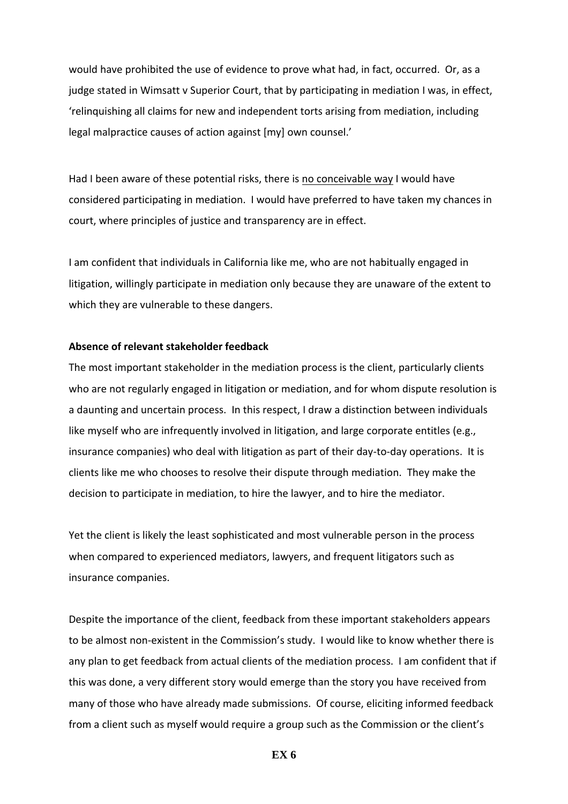would have prohibited the use of evidence to prove what had, in fact, occurred. Or, as a judge stated in Wimsatt v Superior Court, that by participating in mediation I was, in effect, 'relinquishing all claims for new and independent torts arising from mediation, including legal malpractice causes of action against [my] own counsel.'

Had I been aware of these potential risks, there is no conceivable way I would have considered participating in mediation. I would have preferred to have taken my chances in court, where principles of justice and transparency are in effect.

I am confident that individuals in California like me, who are not habitually engaged in litigation, willingly participate in mediation only because they are unaware of the extent to which they are vulnerable to these dangers.

#### Absence of relevant stakeholder feedback

The most important stakeholder in the mediation process is the client, particularly clients who are not regularly engaged in litigation or mediation, and for whom dispute resolution is a daunting and uncertain process. In this respect, I draw a distinction between individuals like myself who are infrequently involved in litigation, and large corporate entitles (e.g., insurance companies) who deal with litigation as part of their day-to-day operations. It is clients like me who chooses to resolve their dispute through mediation. They make the decision to participate in mediation, to hire the lawyer, and to hire the mediator.

Yet the client is likely the least sophisticated and most vulnerable person in the process when compared to experienced mediators, lawyers, and frequent litigators such as insurance companies.

Despite the importance of the client, feedback from these important stakeholders appears to be almost non-existent in the Commission's study. I would like to know whether there is any plan to get feedback from actual clients of the mediation process. I am confident that if this was done, a very different story would emerge than the story you have received from many of those who have already made submissions. Of course, eliciting informed feedback from a client such as myself would require a group such as the Commission or the client's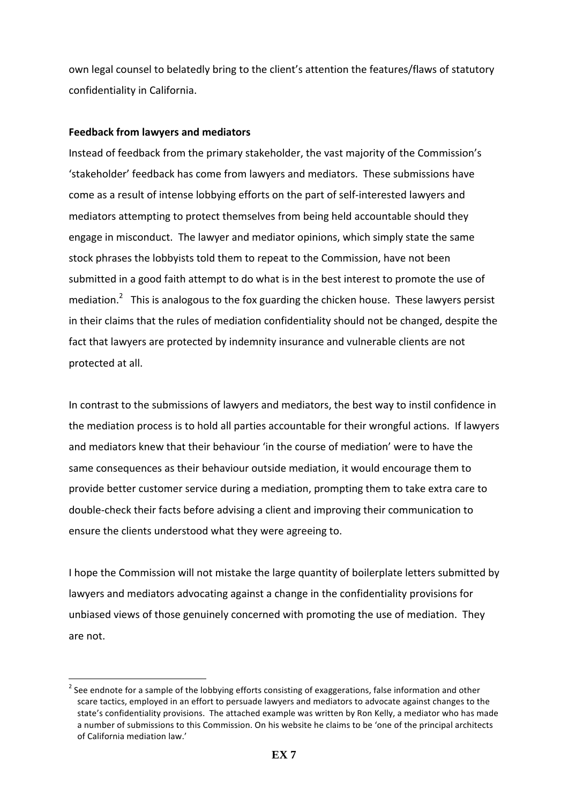own legal counsel to belatedly bring to the client's attention the features/flaws of statutory confidentiality in California.

# **Feedback from lawyers and mediators**

))))))))))))))))))))))))))))))))))))))))))))))))))))))))))))

Instead of feedback from the primary stakeholder, the vast majority of the Commission's 'stakeholder' feedback has come from lawyers and mediators. These submissions have come as a result of intense lobbying efforts on the part of self-interested lawyers and mediators attempting to protect themselves from being held accountable should they engage in misconduct. The lawyer and mediator opinions, which simply state the same stock phrases the lobbyists told them to repeat to the Commission, have not been submitted in a good faith attempt to do what is in the best interest to promote the use of mediation.<sup>2</sup> This is analogous to the fox guarding the chicken house. These lawyers persist in their claims that the rules of mediation confidentiality should not be changed, despite the fact that lawyers are protected by indemnity insurance and vulnerable clients are not protected at all.

In contrast to the submissions of lawyers and mediators, the best way to instil confidence in the mediation process is to hold all parties accountable for their wrongful actions. If lawyers and mediators knew that their behaviour 'in the course of mediation' were to have the same consequences as their behaviour outside mediation, it would encourage them to provide better customer service during a mediation, prompting them to take extra care to double-check their facts before advising a client and improving their communication to ensure the clients understood what they were agreeing to.

I hope the Commission will not mistake the large quantity of boilerplate letters submitted by lawyers and mediators advocating against a change in the confidentiality provisions for unbiased views of those genuinely concerned with promoting the use of mediation. They are not.

 $2$  See endnote for a sample of the lobbying efforts consisting of exaggerations, false information and other scare tactics, employed in an effort to persuade lawyers and mediators to advocate against changes to the state's confidentiality provisions. The attached example was written by Ron Kelly, a mediator who has made a number of submissions to this Commission. On his website he claims to be 'one of the principal architects of California mediation law.'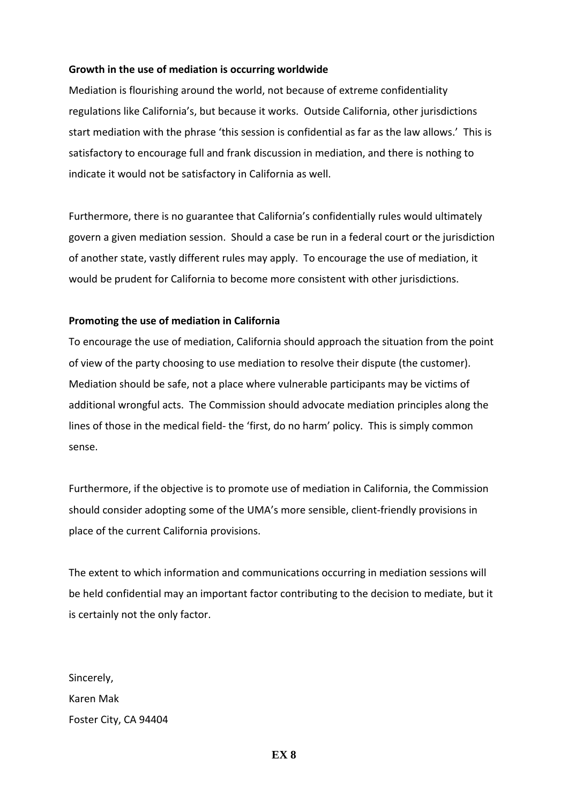## **Growth in the use of mediation is occurring worldwide**

Mediation is flourishing around the world, not because of extreme confidentiality regulations like California's, but because it works. Outside California, other jurisdictions start mediation with the phrase 'this session is confidential as far as the law allows.' This is satisfactory to encourage full and frank discussion in mediation, and there is nothing to indicate it would not be satisfactory in California as well.

Furthermore, there is no guarantee that California's confidentially rules would ultimately govern a given mediation session. Should a case be run in a federal court or the jurisdiction of another state, vastly different rules may apply. To encourage the use of mediation, it would be prudent for California to become more consistent with other jurisdictions.

## **Promoting the use of mediation in California**

To encourage the use of mediation, California should approach the situation from the point of view of the party choosing to use mediation to resolve their dispute (the customer). Mediation should be safe, not a place where vulnerable participants may be victims of additional wrongful acts. The Commission should advocate mediation principles along the lines of those in the medical field-the 'first, do no harm' policy. This is simply common sense.

Furthermore, if the objective is to promote use of mediation in California, the Commission should consider adopting some of the UMA's more sensible, client-friendly provisions in place of the current California provisions.

The extent to which information and communications occurring in mediation sessions will be held confidential may an important factor contributing to the decision to mediate, but it is certainly not the only factor.

Sincerely, Karen Mak Foster City, CA 94404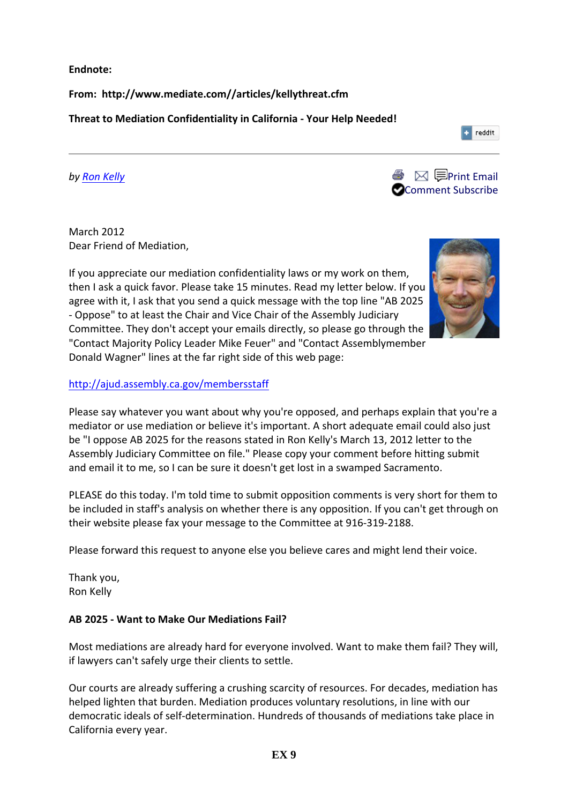**Endnote:**

**From:\$\$http://www.mediate.com//articles/kellythreat.cfm\$**

**Threat to Mediation Confidentiality in California - Your Help Needed!** 

*by'Ron'Kelly*



March 2012 Dear Friend of Mediation,

If you appreciate our mediation confidentiality laws or my work on them, then I ask a quick favor. Please take 15 minutes. Read my letter below. If you agree with it, I ask that you send a quick message with the top line "AB 2025 - Oppose" to at least the Chair and Vice Chair of the Assembly Judiciary Committee. They don't accept your emails directly, so please go through the "Contact Majority Policy Leader Mike Feuer" and "Contact Assemblymember Donald Wagner" lines at the far right side of this web page:



reddit

# http://ajud.assembly.ca.gov/membersstaff))

Please say whatever you want about why you're opposed, and perhaps explain that you're a mediator or use mediation or believe it's important. A short adequate email could also just be "I oppose AB 2025 for the reasons stated in Ron Kelly's March 13, 2012 letter to the Assembly Judiciary Committee on file." Please copy your comment before hitting submit and email it to me, so I can be sure it doesn't get lost in a swamped Sacramento.

PLEASE do this today. I'm told time to submit opposition comments is very short for them to be included in staff's analysis on whether there is any opposition. If you can't get through on their website please fax your message to the Committee at 916-319-2188.

Please forward this request to anyone else you believe cares and might lend their voice.

Thank you, Ron Kelly

# AB 2025 - Want to Make Our Mediations Fail?

Most mediations are already hard for everyone involved. Want to make them fail? They will, if lawyers can't safely urge their clients to settle.

Our courts are already suffering a crushing scarcity of resources. For decades, mediation has helped lighten that burden. Mediation produces voluntary resolutions, in line with our democratic ideals of self-determination. Hundreds of thousands of mediations take place in California every year.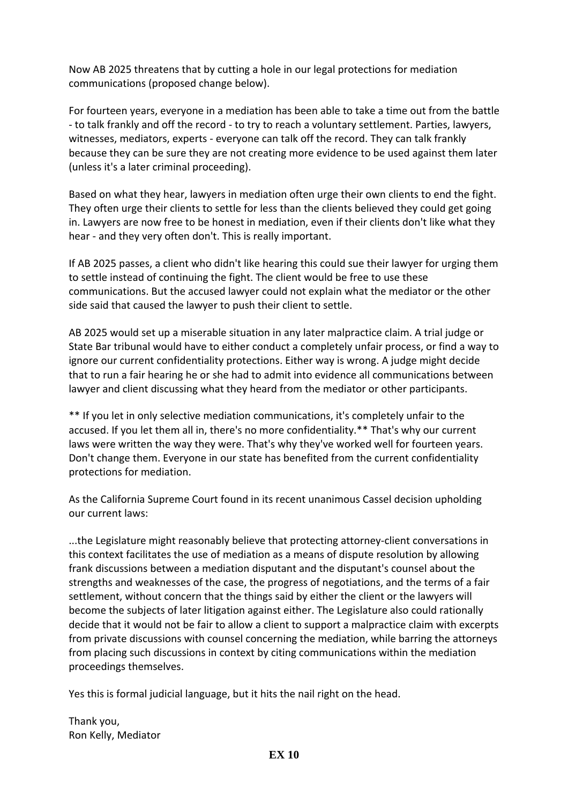Now AB 2025 threatens that by cutting a hole in our legal protections for mediation communications (proposed change below).

For fourteen years, everyone in a mediation has been able to take a time out from the battle - to talk frankly and off the record - to try to reach a voluntary settlement. Parties, lawyers, witnesses, mediators, experts - everyone can talk off the record. They can talk frankly because they can be sure they are not creating more evidence to be used against them later (unless it's a later criminal proceeding).

Based on what they hear, lawyers in mediation often urge their own clients to end the fight. They often urge their clients to settle for less than the clients believed they could get going in. Lawyers are now free to be honest in mediation, even if their clients don't like what they hear - and they very often don't. This is really important.

If AB 2025 passes, a client who didn't like hearing this could sue their lawyer for urging them to settle instead of continuing the fight. The client would be free to use these communications. But the accused lawyer could not explain what the mediator or the other side said that caused the lawyer to push their client to settle.

AB 2025 would set up a miserable situation in any later malpractice claim. A trial judge or State Bar tribunal would have to either conduct a completely unfair process, or find a way to ignore our current confidentiality protections. Either way is wrong. A judge might decide that to run a fair hearing he or she had to admit into evidence all communications between lawyer and client discussing what they heard from the mediator or other participants.

\*\* If you let in only selective mediation communications, it's completely unfair to the accused. If you let them all in, there's no more confidentiality.\*\* That's why our current laws were written the way they were. That's why they've worked well for fourteen years. Don't change them. Everyone in our state has benefited from the current confidentiality protections for mediation.

As the California Supreme Court found in its recent unanimous Cassel decision upholding our current laws:

...the Legislature might reasonably believe that protecting attorney-client conversations in this context facilitates the use of mediation as a means of dispute resolution by allowing frank discussions between a mediation disputant and the disputant's counsel about the strengths and weaknesses of the case, the progress of negotiations, and the terms of a fair settlement, without concern that the things said by either the client or the lawyers will become the subjects of later litigation against either. The Legislature also could rationally decide that it would not be fair to allow a client to support a malpractice claim with excerpts from private discussions with counsel concerning the mediation, while barring the attorneys from placing such discussions in context by citing communications within the mediation proceedings themselves.

Yes this is formal judicial language, but it hits the nail right on the head.

Thank you, Ron Kelly, Mediator